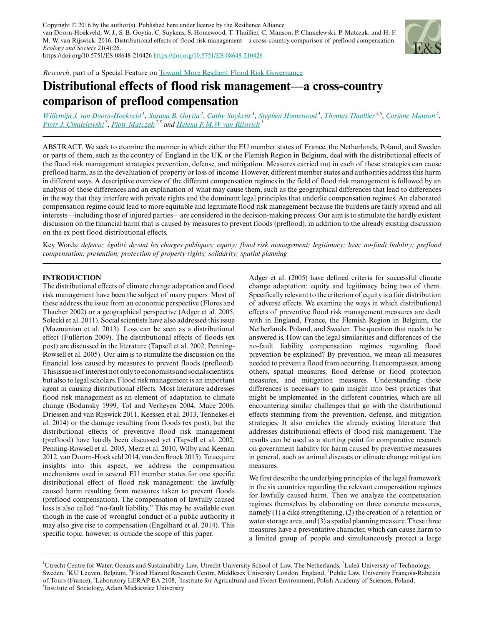Copyright  $\oslash$  2016 by the author(s). Published here under license by the Resilience Alliance. van Doorn-Hoekveld, W. J., S. B. Goytia, C. Suykens, S. Homewood, T. Thuillier, C. Manson, P. Chmielewski, P. Matczak, and H. F. M. W. van Rijswick. 2016. Distributional effects of flood risk management—a cross-country comparison of preflood compensation. *Ecology and Society* 21(4):26. https://doi.org/10.5751/ES-08648-210426<https://doi.org/10.5751/ES-08648-210426>



*Research*, part of a Special Feature on [Toward More Resilient Flood Risk Governance](http://www.ecologyandsociety.org/viewissue.php?sf=115)

# **Distributional effects of flood risk management—a cross-country comparison of preflood compensation**

*[Willemijn J. van Doorn-Hoekveld](mailto:w.j.hoekveld@uu.nl)<sup>1</sup>* , *[Susana B. Goytia](mailto:susana.goytia@ltu.se)<sup>2</sup>* , *[Cathy Suykens](mailto:cathy.suykens@kuleuven.be)<sup>3</sup>* , *[Stephen Homewood](mailto:stephenhomewood@yahoo.co.uk)<sup>4</sup>* , *[Thomas Thuillier](mailto:tthuillier@univ-tours.fr) 5,6* , *[Corinne Manson](mailto:corinne.manson@univ-tours.fr)<sup>5</sup>* , *[Piotr J. Chmielewski](mailto:piotr.chmielewski1990@gmail.com)<sup>7</sup>* , *[Piotr Matczak](mailto:matczak@amu.edu.pl) 7,8 and [Helena F.M.W van Rijswick](mailto:H.vanRijswick@uu.nl)<sup>1</sup>*

ABSTRACT. We seek to examine the manner in which either the EU member states of France, the Netherlands, Poland, and Sweden or parts of them, such as the country of England in the UK or the Flemish Region in Belgium, deal with the distributional effects of the flood risk management strategies prevention, defense, and mitigation. Measures carried out in each of these strategies can cause preflood harm, as in the devaluation of property or loss of income. However, different member states and authorities address this harm in different ways. A descriptive overview of the different compensation regimes in the field of flood risk management is followed by an analysis of these differences and an explanation of what may cause them, such as the geographical differences that lead to differences in the way that they interfere with private rights and the dominant legal principles that underlie compensation regimes. An elaborated compensation regime could lead to more equitable and legitimate flood risk management because the burdens are fairly spread and all interests—including those of injured parties—are considered in the decision-making process. Our aim is to stimulate the hardly existent discussion on the financial harm that is caused by measures to prevent floods (preflood), in addition to the already existing discussion on the ex post flood distributional effects.

Key Words: *defense; égalité devant les charges publiques; equity; flood risk management; legitimacy; loss; no-fault liability; preflood compensation; prevention; protection of property rights; solidarity; spatial planning*

## **INTRODUCTION**

The distributional effects of climate change adaptation and flood risk management have been the subject of many papers. Most of these address the issue from an economic perspective (Flores and Thacher 2002) or a geographical perspective (Adger et al. 2005, Solecki et al. 2011). Social scientists have also addressed this issue (Mazmanian et al. 2013). Loss can be seen as a distributional effect (Fullerton 2009). The distributional effects of floods (ex post) are discussed in the literature (Tapsell et al. 2002, Penning-Rowsell et al. 2005). Our aim is to stimulate the discussion on the financial loss caused by measures to prevent floods (preflood). This issue is of interest not only to economists and social scientists, but also to legal scholars. Flood risk management is an important agent in causing distributional effects. Most literature addresses flood risk management as an element of adaptation to climate change (Bodansky 1999, Tol and Verheyen 2004, Mace 2006, Driessen and van Rijswick 2011, Keessen et al. 2013, Tennekes et al. 2014) or the damage resulting from floods (ex post), but the distributional effects of preventive flood risk management (preflood) have hardly been discussed yet (Tapsell et al. 2002, Penning-Rowsell et al. 2005, Merz et al. 2010, Wilby and Keenan 2012, van Doorn-Hoekveld 2014, van den Broek 2015). To acquire insights into this aspect, we address the compensation mechanisms used in several EU member states for one specific distributional effect of flood risk management: the lawfully caused harm resulting from measures taken to prevent floods (preflood compensation). The compensation of lawfully caused loss is also called "no-fault liability." This may be available even though in the case of wrongful conduct of a public authority it may also give rise to compensation (Engelhard et al. 2014). This specific topic, however, is outside the scope of this paper.

Adger et al. (2005) have defined criteria for successful climate change adaptation: equity and legitimacy being two of them. Specifically relevant to the criterion of equity is a fair distribution of adverse effects. We examine the ways in which distributional effects of preventive flood risk management measures are dealt with in England, France, the Flemish Region in Belgium, the Netherlands, Poland, and Sweden. The question that needs to be answered is, How can the legal similarities and differences of the no-fault liability compensation regimes regarding flood prevention be explained? By prevention, we mean all measures needed to prevent a flood from occurring. It encompasses, among others, spatial measures, flood defense or flood protection measures, and mitigation measures. Understanding these differences is necessary to gain insight into best practices that might be implemented in the different countries, which are all encountering similar challenges that go with the distributional effects stemming from the prevention, defense, and mitigation strategies. It also enriches the already existing literature that addresses distributional effects of flood risk management. The results can be used as a starting point for comparative research on government liability for harm caused by preventive measures in general, such as animal diseases or climate change mitigation measures.

We first describe the underlying principles of the legal framework in the six countries regarding the relevant compensation regimes for lawfully caused harm. Then we analyze the compensation regimes themselves by elaborating on three concrete measures, namely (1) a dike strengthening, (2) the creation of a retention or water storage area, and (3) a spatial planning measure. These three measures have a preventative character, which can cause harm to a limited group of people and simultaneously protect a large

<sup>&</sup>lt;sup>1</sup>Utrecht Centre for Water, Oceans and Sustainability Law, Utrecht University School of Law, The Netherlands, <sup>2</sup>Luleå University of Technology, Sweden, <sup>3</sup>KU Leuven, Belgium, <sup>4</sup>Flood Hazard Research Centre, Middlesex University London, England, <sup>5</sup>Public Law, University François-Rabelais of Tours (France), <sup>6</sup>Laboratory LERAP EA 2108, <sup>7</sup>Institute for Agricultural and Forest Environment, Polish Academy of Sciences, Poland, 8 Institute of Sociology, Adam Mickiewicz University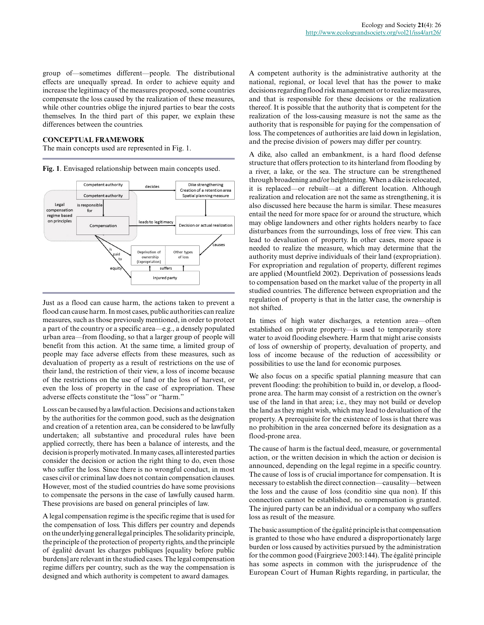group of—sometimes different—people. The distributional effects are unequally spread. In order to achieve equity and increase the legitimacy of the measures proposed, some countries compensate the loss caused by the realization of these measures, while other countries oblige the injured parties to bear the costs themselves. In the third part of this paper, we explain these differences between the countries.

# **CONCEPTUAL FRAMEWORK**

The main concepts used are represented in Fig. 1.

**Fig. 1**. Envisaged relationship between main concepts used.



Just as a flood can cause harm, the actions taken to prevent a flood can cause harm. In most cases, public authorities can realize measures, such as those previously mentioned, in order to protect a part of the country or a specific area—e.g., a densely populated urban area—from flooding, so that a larger group of people will benefit from this action. At the same time, a limited group of people may face adverse effects from these measures, such as devaluation of property as a result of restrictions on the use of their land, the restriction of their view, a loss of income because of the restrictions on the use of land or the loss of harvest, or even the loss of property in the case of expropriation. These adverse effects constitute the "loss" or "harm."

Loss can be caused by a lawful action. Decisions and actions taken by the authorities for the common good, such as the designation and creation of a retention area, can be considered to be lawfully undertaken; all substantive and procedural rules have been applied correctly, there has been a balance of interests, and the decision is properly motivated. In many cases, all interested parties consider the decision or action the right thing to do, even those who suffer the loss. Since there is no wrongful conduct, in most cases civil or criminal law does not contain compensation clauses. However, most of the studied countries do have some provisions to compensate the persons in the case of lawfully caused harm. These provisions are based on general principles of law.

A legal compensation regime is the specific regime that is used for the compensation of loss. This differs per country and depends on the underlying general legal principles. The solidarity principle, the principle of the protection of property rights, and the principle of égalité devant les charges publiques [equality before public burdens] are relevant in the studied cases. The legal compensation regime differs per country, such as the way the compensation is designed and which authority is competent to award damages.

A competent authority is the administrative authority at the national, regional, or local level that has the power to make decisions regarding flood risk management or to realize measures, and that is responsible for these decisions or the realization thereof. It is possible that the authority that is competent for the realization of the loss-causing measure is not the same as the authority that is responsible for paying for the compensation of loss. The competences of authorities are laid down in legislation, and the precise division of powers may differ per country.

A dike, also called an embankment, is a hard flood defense structure that offers protection to its hinterland from flooding by a river, a lake, or the sea. The structure can be strengthened through broadening and/or heightening. When a dike is relocated, it is replaced—or rebuilt—at a different location. Although realization and relocation are not the same as strengthening, it is also discussed here because the harm is similar. These measures entail the need for more space for or around the structure, which may oblige landowners and other rights holders nearby to face disturbances from the surroundings, loss of free view. This can lead to devaluation of property. In other cases, more space is needed to realize the measure, which may determine that the authority must deprive individuals of their land (expropriation). For expropriation and regulation of property, different regimes are applied (Mountfield 2002). Deprivation of possessions leads to compensation based on the market value of the property in all studied countries. The difference between expropriation and the regulation of property is that in the latter case, the ownership is not shifted.

In times of high water discharges, a retention area—often established on private property—is used to temporarily store water to avoid flooding elsewhere. Harm that might arise consists of loss of ownership of property, devaluation of property, and loss of income because of the reduction of accessibility or possibilities to use the land for economic purposes.

We also focus on a specific spatial planning measure that can prevent flooding: the prohibition to build in, or develop, a floodprone area. The harm may consist of a restriction on the owner's use of the land in that area; i.e., they may not build or develop the land as they might wish, which may lead to devaluation of the property. A prerequisite for the existence of loss is that there was no prohibition in the area concerned before its designation as a flood-prone area.

The cause of harm is the factual deed, measure, or governmental action, or the written decision in which the action or decision is announced, depending on the legal regime in a specific country. The cause of loss is of crucial importance for compensation. It is necessary to establish the direct connection—causality—between the loss and the cause of loss (conditio sine qua non). If this connection cannot be established, no compensation is granted. The injured party can be an individual or a company who suffers loss as result of the measure.

The basic assumption of the égalité principle is that compensation is granted to those who have endured a disproportionately large burden or loss caused by activities pursued by the administration for the common good (Fairgrieve 2003:144). The égalité principle has some aspects in common with the jurisprudence of the European Court of Human Rights regarding, in particular, the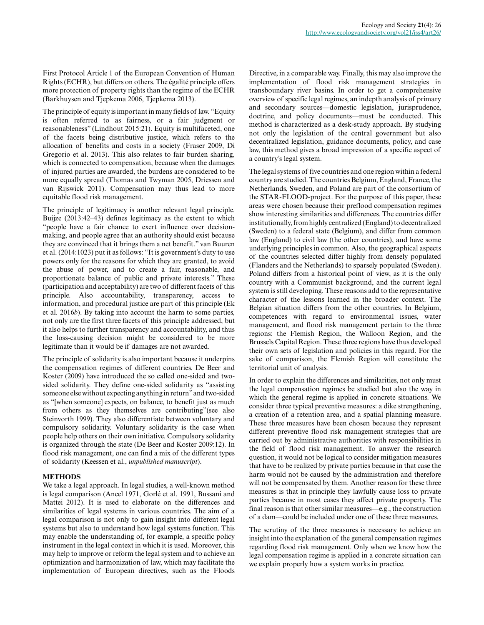First Protocol Article 1 of the European Convention of Human Rights (ECHR), but differs on others. The égalité principle offers more protection of property rights than the regime of the ECHR (Barkhuysen and Tjepkema 2006, Tjepkema 2013).

The principle of equity is important in many fields of law. "Equity is often referred to as fairness, or a fair judgment or reasonableness" (Lindhout 2015:21). Equity is multifaceted, one of the facets being distributive justice, which refers to the allocation of benefits and costs in a society (Fraser 2009, Di Gregorio et al. 2013). This also relates to fair burden sharing, which is connected to compensation, because when the damages of injured parties are awarded, the burdens are considered to be more equally spread (Thomas and Twyman 2005, Driessen and van Rijswick 2011). Compensation may thus lead to more equitable flood risk management.

The principle of legitimacy is another relevant legal principle. Buijze (2013:42–43) defines legitimacy as the extent to which "people have a fair chance to exert influence over decisionmaking, and people agree that an authority should exist because they are convinced that it brings them a net benefit." van Buuren et al. (2014:1023) put it as follows: "It is government's duty to use powers only for the reasons for which they are granted, to avoid the abuse of power, and to create a fair, reasonable, and proportionate balance of public and private interests." These (participation and acceptability) are two of different facets of this principle. Also accountability, transparency, access to information, and procedural justice are part of this principle (Ek et al. 2016*b*). By taking into account the harm to some parties, not only are the first three facets of this principle addressed, but it also helps to further transparency and accountability, and thus the loss-causing decision might be considered to be more legitimate than it would be if damages are not awarded.

The principle of solidarity is also important because it underpins the compensation regimes of different countries. De Beer and Koster (2009) have introduced the so called one-sided and twosided solidarity. They define one-sided solidarity as "assisting someone else without expecting anything in return" and two-sided as "[when someone] expects, on balance, to benefit just as much from others as they themselves are contributing"(see also Steinvorth 1999). They also differentiate between voluntary and compulsory solidarity. Voluntary solidarity is the case when people help others on their own initiative. Compulsory solidarity is organized through the state (De Beer and Koster 2009:12). In flood risk management, one can find a mix of the different types of solidarity (Keessen et al., *unpublished manuscript*).

#### **METHODS**

We take a legal approach. In legal studies, a well-known method is legal comparison (Ancel 1971, Gorlé et al. 1991, Bussani and Mattei 2012). It is used to elaborate on the differences and similarities of legal systems in various countries. The aim of a legal comparison is not only to gain insight into different legal systems but also to understand how legal systems function. This may enable the understanding of, for example, a specific policy instrument in the legal context in which it is used. Moreover, this may help to improve or reform the legal system and to achieve an optimization and harmonization of law, which may facilitate the implementation of European directives, such as the Floods Directive, in a comparable way. Finally, this may also improve the implementation of flood risk management strategies in transboundary river basins. In order to get a comprehensive overview of specific legal regimes, an indepth analysis of primary and secondary sources—domestic legislation, jurisprudence, doctrine, and policy documents—must be conducted. This method is characterized as a desk-study approach. By studying not only the legislation of the central government but also decentralized legislation, guidance documents, policy, and case law, this method gives a broad impression of a specific aspect of a country's legal system.

The legal systems of five countries and one region within a federal country are studied. The countries Belgium, England, France, the Netherlands, Sweden, and Poland are part of the consortium of the STAR-FLOOD-project. For the purpose of this paper, these areas were chosen because their preflood compensation regimes show interesting similarities and differences. The countries differ institutionally, from highly centralized (England) to decentralized (Sweden) to a federal state (Belgium), and differ from common law (England) to civil law (the other countries), and have some underlying principles in common. Also, the geographical aspects of the countries selected differ highly from densely populated (Flanders and the Netherlands) to sparsely populated (Sweden). Poland differs from a historical point of view, as it is the only country with a Communist background, and the current legal system is still developing. These reasons add to the representative character of the lessons learned in the broader context. The Belgian situation differs from the other countries. In Belgium, competences with regard to environmental issues, water management, and flood risk management pertain to the three regions: the Flemish Region, the Walloon Region, and the Brussels Capital Region. These three regions have thus developed their own sets of legislation and policies in this regard. For the sake of comparison, the Flemish Region will constitute the territorial unit of analysis.

In order to explain the differences and similarities, not only must the legal compensation regimes be studied but also the way in which the general regime is applied in concrete situations. We consider three typical preventive measures: a dike strengthening, a creation of a retention area, and a spatial planning measure. These three measures have been chosen because they represent different preventive flood risk management strategies that are carried out by administrative authorities with responsibilities in the field of flood risk management. To answer the research question, it would not be logical to consider mitigation measures that have to be realized by private parties because in that case the harm would not be caused by the administration and therefore will not be compensated by them. Another reason for these three measures is that in principle they lawfully cause loss to private parties because in most cases they affect private property. The final reason is that other similar measures—e.g., the construction of a dam—could be included under one of these three measures.

The scrutiny of the three measures is necessary to achieve an insight into the explanation of the general compensation regimes regarding flood risk management. Only when we know how the legal compensation regime is applied in a concrete situation can we explain properly how a system works in practice.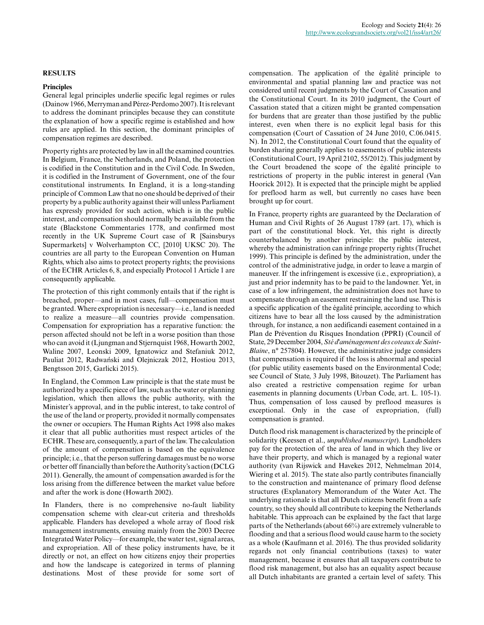## **RESULTS**

#### **Principles**

General legal principles underlie specific legal regimes or rules (Dainow 1966, Merryman and Pérez-Perdomo 2007). It is relevant to address the dominant principles because they can constitute the explanation of how a specific regime is established and how rules are applied. In this section, the dominant principles of compensation regimes are described.

Property rights are protected by law in all the examined countries. In Belgium, France, the Netherlands, and Poland, the protection is codified in the Constitution and in the Civil Code. In Sweden, it is codified in the Instrument of Government, one of the four constitutional instruments. In England, it is a long-standing principle of Common Law that no one should be deprived of their property by a public authority against their will unless Parliament has expressly provided for such action, which is in the public interest, and compensation should normally be available from the state (Blackstone Commentaries 1778, and confirmed most recently in the UK Supreme Court case of R [Sainsburys Supermarkets] v Wolverhampton CC, [2010] UKSC 20). The countries are all party to the European Convention on Human Rights, which also aims to protect property rights; the provisions of the ECHR Articles 6, 8, and especially Protocol 1 Article 1 are consequently applicable.

The protection of this right commonly entails that if the right is breached, proper—and in most cases, full—compensation must be granted. Where expropriation is necessary—i.e., land is needed to realize a measure—all countries provide compensation. Compensation for expropriation has a reparative function: the person affected should not be left in a worse position than those who can avoid it (Ljungman and Stjernquist 1968, Howarth 2002, Waline 2007, Leonski 2009, Ignatowicz and Stefaniuk 2012, Pauliat 2012, Radwański and Olejniczak 2012, Hostiou 2013, Bengtsson 2015, Garlicki 2015).

In England, the Common Law principle is that the state must be authorized by a specific piece of law, such as the water or planning legislation, which then allows the public authority, with the Minister's approval, and in the public interest, to take control of the use of the land or property, provided it normally compensates the owner or occupiers. The Human Rights Act 1998 also makes it clear that all public authorities must respect articles of the ECHR. These are, consequently, a part of the law. The calculation of the amount of compensation is based on the equivalence principle; i.e., that the person suffering damages must be no worse or better off financially than before the Authority's action (DCLG 2011). Generally, the amount of compensation awarded is for the loss arising from the difference between the market value before and after the work is done (Howarth 2002).

In Flanders, there is no comprehensive no-fault liability compensation scheme with clear-cut criteria and thresholds applicable. Flanders has developed a whole array of flood risk management instruments, ensuing mainly from the 2003 Decree Integrated Water Policy—for example, the water test, signal areas, and expropriation. All of these policy instruments have, be it directly or not, an effect on how citizens enjoy their properties and how the landscape is categorized in terms of planning destinations. Most of these provide for some sort of

compensation. The application of the égalité principle to environmental and spatial planning law and practice was not considered until recent judgments by the Court of Cassation and the Constitutional Court. In its 2010 judgment, the Court of Cassation stated that a citizen might be granted compensation for burdens that are greater than those justified by the public interest, even when there is no explicit legal basis for this compensation (Court of Cassation of 24 June 2010, C.06.0415. N). In 2012, the Constitutional Court found that the equality of burden sharing generally applies to easements of public interests (Constitutional Court, 19 April 2102, 55/2012). This judgment by the Court broadened the scope of the égalité principle to restrictions of property in the public interest in general (Van Hoorick 2012). It is expected that the principle might be applied for preflood harm as well, but currently no cases have been brought up for court.

In France, property rights are guaranteed by the Declaration of Human and Civil Rights of 26 August 1789 (art. 17), which is part of the constitutional block. Yet, this right is directly counterbalanced by another principle: the public interest, whereby the administration can infringe property rights (Truchet 1999). This principle is defined by the administration, under the control of the administrative judge, in order to leave a margin of maneuver. If the infringement is excessive (i.e., expropriation), a just and prior indemnity has to be paid to the landowner. Yet, in case of a low infringement, the administration does not have to compensate through an easement restraining the land use. This is a specific application of the égalité principle, according to which citizens have to bear all the loss caused by the administration through, for instance, a non aedificandi easement contained in a Plan de Prévention du Risques Inondation (PPRI) (Council of State, 29 December 2004, *Sté d'aménagement des coteaux de Saint-Blaine*, n° 257804). However, the administrative judge considers that compensation is required if the loss is abnormal and special (for public utility easements based on the Environmental Code; see Council of State, 3 July 1998, Bitouzet). The Parliament has also created a restrictive compensation regime for urban easements in planning documents (Urban Code, art. L. 105-1). Thus, compensation of loss caused by preflood measures is exceptional. Only in the case of expropriation, (full) compensation is granted.

Dutch flood risk management is characterized by the principle of solidarity (Keessen et al., *unpublished manuscript*). Landholders pay for the protection of the area of land in which they live or have their property, and which is managed by a regional water authority (van Rijswick and Havekes 2012, Nehmelman 2014, Wiering et al. 2015). The state also partly contributes financially to the construction and maintenance of primary flood defense structures (Explanatory Memorandum of the Water Act. The underlying rationale is that all Dutch citizens benefit from a safe country, so they should all contribute to keeping the Netherlands habitable. This approach can be explained by the fact that large parts of the Netherlands (about 66%) are extremely vulnerable to flooding and that a serious flood would cause harm to the society as a whole (Kaufmann et al. 2016). The thus provided solidarity regards not only financial contributions (taxes) to water management, because it ensures that all taxpayers contribute to flood risk management, but also has an equality aspect because all Dutch inhabitants are granted a certain level of safety. This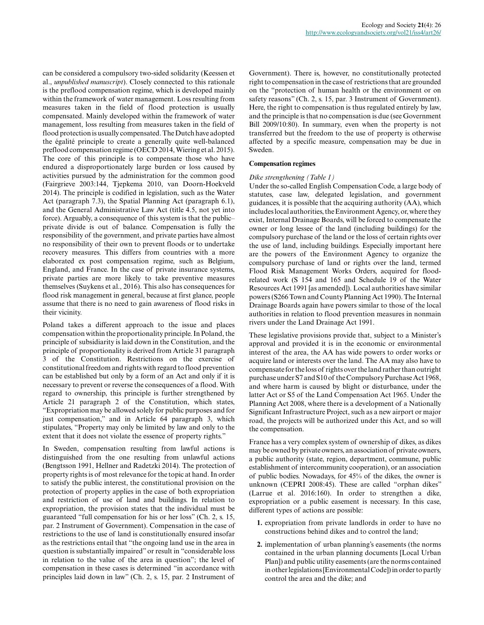can be considered a compulsory two-sided solidarity (Keessen et al., *unpublished manuscript*). Closely connected to this rationale is the preflood compensation regime, which is developed mainly within the framework of water management. Loss resulting from measures taken in the field of flood protection is usually compensated. Mainly developed within the framework of water management, loss resulting from measures taken in the field of flood protection is usually compensated. The Dutch have adopted the égalité principle to create a generally quite well-balanced preflood compensation regime (OECD 2014, Wiering et al. 2015). The core of this principle is to compensate those who have endured a disproportionately large burden or loss caused by activities pursued by the administration for the common good (Fairgrieve 2003:144, Tjepkema 2010, van Doorn-Hoekveld 2014). The principle is codified in legislation, such as the Water Act (paragraph 7.3), the Spatial Planning Act (paragraph 6.1), and the General Administrative Law Act (title 4.5, not yet into force). Arguably, a consequence of this system is that the public– private divide is out of balance. Compensation is fully the responsibility of the government, and private parties have almost no responsibility of their own to prevent floods or to undertake recovery measures. This differs from countries with a more elaborated ex post compensation regime, such as Belgium, England, and France. In the case of private insurance systems, private parties are more likely to take preventive measures themselves (Suykens et al., 2016). This also has consequences for flood risk management in general, because at first glance, people assume that there is no need to gain awareness of flood risks in their vicinity.

Poland takes a different approach to the issue and places compensation within the proportionality principle. In Poland, the principle of subsidiarity is laid down in the Constitution, and the principle of proportionality is derived from Article 31 paragraph 3 of the Constitution. Restrictions on the exercise of constitutional freedom and rights with regard to flood prevention can be established but only by a form of an Act and only if it is necessary to prevent or reverse the consequences of a flood. With regard to ownership, this principle is further strengthened by Article 21 paragraph 2 of the Constitution, which states, "Expropriation may be allowed solely for public purposes and for just compensation," and in Article 64 paragraph 3, which stipulates, "Property may only be limited by law and only to the extent that it does not violate the essence of property rights."

In Sweden, compensation resulting from lawful actions is distinguished from the one resulting from unlawful actions (Bengtsson 1991, Hellner and Radetzki 2014). The protection of property rights is of most relevance for the topic at hand. In order to satisfy the public interest, the constitutional provision on the protection of property applies in the case of both expropriation and restriction of use of land and buildings. In relation to expropriation, the provision states that the individual must be guaranteed "full compensation for his or her loss" (Ch. 2, s. 15, par. 2 Instrument of Government). Compensation in the case of restrictions to the use of land is constitutionally ensured insofar as the restrictions entail that "the ongoing land use in the area in question is substantially impaired" or result in "considerable loss in relation to the value of the area in question"; the level of compensation in these cases is determined "in accordance with principles laid down in law" (Ch. 2, s. 15, par. 2 Instrument of

Government). There is, however, no constitutionally protected right to compensation in the case of restrictions that are grounded on the "protection of human health or the environment or on safety reasons" (Ch. 2, s. 15, par. 3 Instrument of Government). Here, the right to compensation is thus regulated entirely by law, and the principle is that no compensation is due (see Government Bill 2009/10:80). In summary, even when the property is not transferred but the freedom to the use of property is otherwise affected by a specific measure, compensation may be due in Sweden.

#### **Compensation regimes**

#### *Dike strengthening (Table 1)*

Under the so-called English Compensation Code, a large body of statutes, case law, delegated legislation, and government guidances, it is possible that the acquiring authority (AA), which includes local authorities, the Environment Agency, or, where they exist, Internal Drainage Boards, will be forced to compensate the owner or long lessee of the land (including buildings) for the compulsory purchase of the land or the loss of certain rights over the use of land, including buildings. Especially important here are the powers of the Environment Agency to organize the compulsory purchase of land or rights over the land, termed Flood Risk Management Works Orders, acquired for floodrelated work (S 154 and 165 and Schedule 19 of the Water Resources Act 1991 [as amended]). Local authorities have similar powers (S266 Town and County Planning Act 1990). The Internal Drainage Boards again have powers similar to those of the local authorities in relation to flood prevention measures in nonmain rivers under the Land Drainage Act 1991.

These legislative provisions provide that, subject to a Minister's approval and provided it is in the economic or environmental interest of the area, the AA has wide powers to order works or acquire land or interests over the land. The AA may also have to compensate for the loss of rights over the land rather than outright purchase under S7 and S10 of the Compulsory Purchase Act 1968, and where harm is caused by blight or disturbance, under the latter Act or S5 of the Land Compensation Act 1965. Under the Planning Act 2008, where there is a development of a Nationally Significant Infrastructure Project, such as a new airport or major road, the projects will be authorized under this Act, and so will the compensation.

France has a very complex system of ownership of dikes, as dikes may be owned by private owners, an association of private owners, a public authority (state, region, department, commune, public establishment of intercommunity cooperation), or an association of public bodies. Nowadays, for 45% of the dikes, the owner is unknown (CEPRI 2008:45). These are called "orphan dikes" (Larrue et al. 2016:160). In order to strengthen a dike, expropriation or a public easement is necessary. In this case, different types of actions are possible:

- **1.** expropriation from private landlords in order to have no constructions behind dikes and to control the land;
- **2.** implementation of urban planning's easements (the norms contained in the urban planning documents [Local Urban Plan]) and public utility easements (are the norms contained in other legislations [Environmental Code]) in order to partly control the area and the dike; and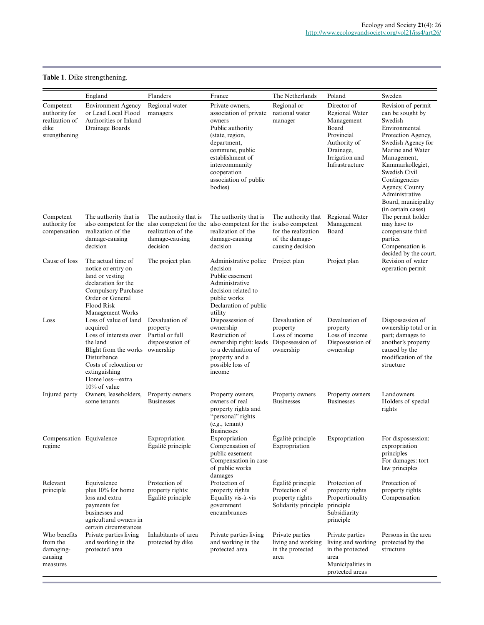# **Table 1**. Dike strengthening.

|                                                                       | England                                                                                                                                                                                                    | Flanders                                                                                            | France                                                                                                                                                                                                                | The Netherlands                                                                 | Poland                                                                                                                              | Sweden                                                                                                                                                                                                                                                                                   |
|-----------------------------------------------------------------------|------------------------------------------------------------------------------------------------------------------------------------------------------------------------------------------------------------|-----------------------------------------------------------------------------------------------------|-----------------------------------------------------------------------------------------------------------------------------------------------------------------------------------------------------------------------|---------------------------------------------------------------------------------|-------------------------------------------------------------------------------------------------------------------------------------|------------------------------------------------------------------------------------------------------------------------------------------------------------------------------------------------------------------------------------------------------------------------------------------|
| Competent<br>authority for<br>realization of<br>dike<br>strengthening | <b>Environment Agency</b><br>or Lead Local Flood<br>Authorities or Inland<br>Drainage Boards                                                                                                               | Regional water<br>managers                                                                          | Private owners,<br>association of private<br>owners<br>Public authority<br>(state, region,<br>department,<br>commune, public<br>establishment of<br>intercommunity<br>cooperation<br>association of public<br>bodies) | Regional or<br>national water<br>manager                                        | Director of<br>Regional Water<br>Management<br>Board<br>Provincial<br>Authority of<br>Drainage,<br>Irrigation and<br>Infrastructure | Revision of permit<br>can be sought by<br>Swedish<br>Environmental<br>Protection Agency,<br>Swedish Agency for<br>Marine and Water<br>Management,<br>Kammarkollegiet,<br>Swedish Civil<br>Contingencies<br>Agency, County<br>Administrative<br>Board, municipality<br>(in certain cases) |
| Competent<br>authority for<br>compensation                            | The authority that is<br>also competent for the<br>realization of the<br>damage-causing<br>decision                                                                                                        | The authority that is<br>also competent for the<br>realization of the<br>damage-causing<br>decision | The authority that is<br>also competent for the is also competent<br>realization of the<br>damage-causing<br>decision                                                                                                 | The authority that<br>for the realization<br>of the damage-<br>causing decision | Regional Water<br>Management<br>Board                                                                                               | The permit holder<br>may have to<br>compensate third<br>parties.<br>Compensation is<br>decided by the court.                                                                                                                                                                             |
| Cause of loss                                                         | The actual time of<br>notice or entry on<br>land or vesting<br>declaration for the<br>Compulsory Purchase<br>Order or General<br>Flood Risk<br>Management Works                                            | The project plan                                                                                    | Administrative police<br>decision<br>Public easement<br>Administrative<br>decision related to<br>public works<br>Declaration of public<br>utility                                                                     | Project plan                                                                    | Project plan                                                                                                                        | Revision of water<br>operation permit                                                                                                                                                                                                                                                    |
| Loss                                                                  | Loss of value of land<br>acquired<br>Loss of interests over<br>the land<br>Blight from the works ownership<br>Disturbance<br>Costs of relocation or<br>extinguishing<br>Home loss-extra<br>$10\%$ of value | Devaluation of<br>property<br>Partial or full<br>dispossession of                                   | Dispossession of<br>ownership<br>Restriction of<br>ownership right: leads<br>to a devaluation of<br>property and a<br>possible loss of<br>income                                                                      | Devaluation of<br>property<br>Loss of income<br>Dispossession of<br>ownership   | Devaluation of<br>property<br>Loss of income<br>Dispossession of<br>ownership                                                       | Dispossession of<br>ownership total or in<br>part; damages to<br>another's property<br>caused by the<br>modification of the<br>structure                                                                                                                                                 |
| Injured party                                                         | Owners, leaseholders,<br>some tenants                                                                                                                                                                      | Property owners<br><b>Businesses</b>                                                                | Property owners,<br>owners of real<br>property rights and<br>"personal" rights<br>(e.g., tenant)<br><b>Businesses</b>                                                                                                 | Property owners<br><b>Businesses</b>                                            | Property owners<br><b>Businesses</b>                                                                                                | Landowners<br>Holders of special<br>rights                                                                                                                                                                                                                                               |
| Compensation Equivalence<br>regime                                    |                                                                                                                                                                                                            | Expropriation<br>Égalité principle                                                                  | Expropriation<br>Compensation of<br>public easement<br>Compensation in case<br>of public works<br>damages                                                                                                             | Egalité principle<br>Expropriation                                              | Expropriation                                                                                                                       | For dispossession:<br>expropriation<br>principles<br>For damages: tort<br>law principles                                                                                                                                                                                                 |
| Relevant<br>principle                                                 | Equivalence<br>plus $10\%$ for home<br>loss and extra<br>payments for<br>businesses and<br>agricultural owners in<br>certain circumstances                                                                 | Protection of<br>property rights:<br>Égalité principle                                              | Protection of<br>property rights<br>Equality vis-à-vis<br>government<br>encumbrances                                                                                                                                  | Égalité principle<br>Protection of<br>property rights<br>Solidarity principle   | Protection of<br>property rights<br>Proportionality<br>principle<br>Subsidiarity<br>principle                                       | Protection of<br>property rights<br>Compensation                                                                                                                                                                                                                                         |
| Who benefits<br>from the<br>damaging-<br>causing<br>measures          | Private parties living<br>and working in the<br>protected area                                                                                                                                             | Inhabitants of area<br>protected by dike                                                            | Private parties living<br>and working in the<br>protected area                                                                                                                                                        | Private parties<br>living and working<br>in the protected<br>area               | Private parties<br>living and working<br>in the protected<br>area<br>Municipalities in<br>protected areas                           | Persons in the area<br>protected by the<br>structure                                                                                                                                                                                                                                     |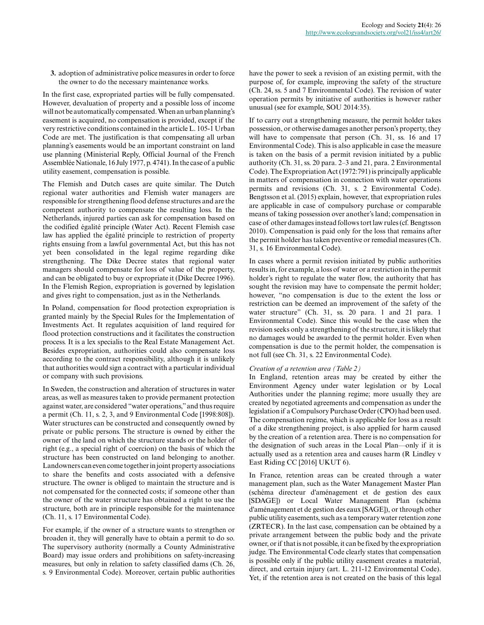**3.** adoption of administrative police measures in order to force the owner to do the necessary maintenance works.

In the first case, expropriated parties will be fully compensated. However, devaluation of property and a possible loss of income will not be automatically compensated. When an urban planning's easement is acquired, no compensation is provided, except if the very restrictive conditions contained in the article L. 105-1 Urban Code are met. The justification is that compensating all urban planning's easements would be an important constraint on land use planning (Ministerial Reply, Official Journal of the French Assemblée Nationale, 16 July 1977, p. 4741). In the case of a public utility easement, compensation is possible.

The Flemish and Dutch cases are quite similar. The Dutch regional water authorities and Flemish water managers are responsible for strengthening flood defense structures and are the competent authority to compensate the resulting loss. In the Netherlands, injured parties can ask for compensation based on the codified égalité principle (Water Act). Recent Flemish case law has applied the égalité principle to restriction of property rights ensuing from a lawful governmental Act, but this has not yet been consolidated in the legal regime regarding dike strengthening. The Dike Decree states that regional water managers should compensate for loss of value of the property, and can be obligated to buy or expropriate it (Dike Decree 1996). In the Flemish Region, expropriation is governed by legislation and gives right to compensation, just as in the Netherlands.

In Poland, compensation for flood protection expropriation is granted mainly by the Special Rules for the Implementation of Investments Act. It regulates acquisition of land required for flood protection constructions and it facilitates the construction process. It is a lex specialis to the Real Estate Management Act. Besides expropriation, authorities could also compensate loss according to the contract responsibility, although it is unlikely that authorities would sign a contract with a particular individual or company with such provisions.

In Sweden, the construction and alteration of structures in water areas, as well as measures taken to provide permanent protection against water, are considered "water operations," and thus require a permit (Ch. 11, s. 2, 3, and 9 Environmental Code [1998:808]). Water structures can be constructed and consequently owned by private or public persons. The structure is owned by either the owner of the land on which the structure stands or the holder of right (e.g., a special right of coercion) on the basis of which the structure has been constructed on land belonging to another. Landowners can even come together in joint property associations to share the benefits and costs associated with a defensive structure. The owner is obliged to maintain the structure and is not compensated for the connected costs; if someone other than the owner of the water structure has obtained a right to use the structure, both are in principle responsible for the maintenance (Ch. 11, s. 17 Environmental Code).

For example, if the owner of a structure wants to strengthen or broaden it, they will generally have to obtain a permit to do so. The supervisory authority (normally a County Administrative Board) may issue orders and prohibitions on safety-increasing measures, but only in relation to safety classified dams (Ch. 26, s. 9 Environmental Code). Moreover, certain public authorities

have the power to seek a revision of an existing permit, with the purpose of, for example, improving the safety of the structure (Ch. 24, ss. 5 and 7 Environmental Code). The revision of water operation permits by initiative of authorities is however rather unusual (see for example, SOU 2014:35).

If to carry out a strengthening measure, the permit holder takes possession, or otherwise damages another person's property, they will have to compensate that person (Ch. 31, ss. 16 and 17 Environmental Code). This is also applicable in case the measure is taken on the basis of a permit revision initiated by a public authority (Ch. 31, ss. 20 para. 2–3 and 21, para. 2 Environmental Code). The Expropriation Act (1972:791) is principally applicable in matters of compensation in connection with water operations permits and revisions (Ch. 31, s. 2 Environmental Code). Bengtsson et al. (2015) explain, however, that expropriation rules are applicable in case of compulsory purchase or comparable means of taking possession over another's land; compensation in case of other damages instead follows tort law rules (cf. Bengtsson 2010). Compensation is paid only for the loss that remains after the permit holder has taken preventive or remedial measures (Ch. 31, s. 16 Environmental Code).

In cases where a permit revision initiated by public authorities results in, for example, a loss of water or a restriction in the permit holder's right to regulate the water flow, the authority that has sought the revision may have to compensate the permit holder; however, "no compensation is due to the extent the loss or restriction can be deemed an improvement of the safety of the water structure" (Ch. 31, ss. 20 para. 1 and 21 para. 1 Environmental Code). Since this would be the case when the revision seeks only a strengthening of the structure, it is likely that no damages would be awarded to the permit holder. Even when compensation is due to the permit holder, the compensation is not full (see Ch. 31, s. 22 Environmental Code).

#### *Creation of a retention area (Table 2)*

In England, retention areas may be created by either the Environment Agency under water legislation or by Local Authorities under the planning regime; more usually they are created by negotiated agreements and compensation as under the legislation if a Compulsory Purchase Order (CPO) had been used. The compensation regime, which is applicable for loss as a result of a dike strengthening project, is also applied for harm caused by the creation of a retention area. There is no compensation for the designation of such areas in the Local Plan—only if it is actually used as a retention area and causes harm (R Lindley v East Riding CC [2016] UKUT 6).

In France, retention areas can be created through a water management plan, such as the Water Management Master Plan (schéma directeur d'aménagement et de gestion des eaux [SDAGE]) or Local Water Management Plan (schéma d'aménagement et de gestion des eaux [SAGE]), or through other public utility easements, such as a temporary water retention zone (ZRTECR). In the last case, compensation can be obtained by a private arrangement between the public body and the private owner, or if that is not possible, it can be fixed by the expropriation judge. The Environmental Code clearly states that compensation is possible only if the public utility easement creates a material, direct, and certain injury (art. L. 211-12 Environmental Code). Yet, if the retention area is not created on the basis of this legal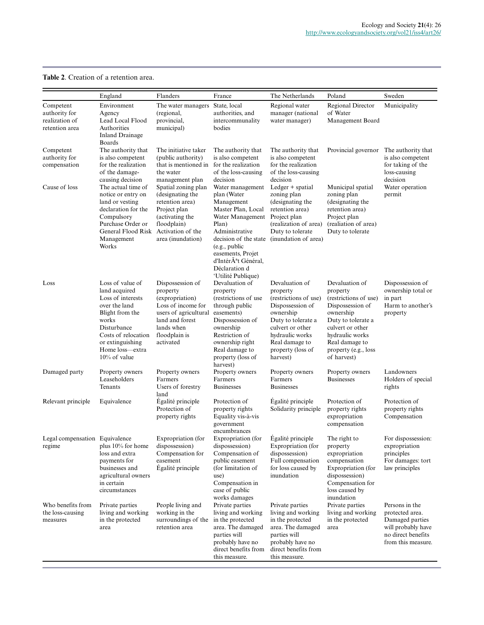# **Table 2**. Creation of a retention area.

|                                                   | England                                                                                                                                                                                             | Flanders                                                                                                                                                      | France                                                                                                                                                                                                                              | The Netherlands                                                                                                                                                                                      | Poland                                                                                                                                                                                                     | Sweden                                                                                                                 |
|---------------------------------------------------|-----------------------------------------------------------------------------------------------------------------------------------------------------------------------------------------------------|---------------------------------------------------------------------------------------------------------------------------------------------------------------|-------------------------------------------------------------------------------------------------------------------------------------------------------------------------------------------------------------------------------------|------------------------------------------------------------------------------------------------------------------------------------------------------------------------------------------------------|------------------------------------------------------------------------------------------------------------------------------------------------------------------------------------------------------------|------------------------------------------------------------------------------------------------------------------------|
| Competent                                         | Environment                                                                                                                                                                                         | The water managers State, local                                                                                                                               |                                                                                                                                                                                                                                     | Regional water                                                                                                                                                                                       | Regional Director                                                                                                                                                                                          | Municipality                                                                                                           |
| authority for<br>realization of                   | Agency<br>Lead Local Flood                                                                                                                                                                          | (regional,<br>provincial,                                                                                                                                     | authorities, and<br>intercommunality                                                                                                                                                                                                | manager (national<br>water manager)                                                                                                                                                                  | of Water<br>Management Board                                                                                                                                                                               |                                                                                                                        |
| retention area                                    | Authorities<br><b>Inland Drainage</b><br><b>Boards</b>                                                                                                                                              | municipal)                                                                                                                                                    | bodies                                                                                                                                                                                                                              |                                                                                                                                                                                                      |                                                                                                                                                                                                            |                                                                                                                        |
| Competent<br>authority for<br>compensation        | The authority that<br>is also competent<br>for the realization<br>of the damage-<br>causing decision                                                                                                | The initiative taker<br>(public authority)<br>that is mentioned in<br>the water<br>management plan                                                            | The authority that<br>is also competent<br>for the realization<br>of the loss-causing<br>decision                                                                                                                                   | The authority that<br>is also competent<br>for the realization<br>of the loss-causing<br>decision                                                                                                    | Provincial governor                                                                                                                                                                                        | The authority that<br>is also competent<br>for taking of the<br>loss-causing<br>decision                               |
| Cause of loss                                     | The actual time of<br>notice or entry on<br>land or vesting<br>declaration for the<br>Compulsory<br>Purchase Order or<br>General Flood Risk Activation of the<br>Management<br>Works                | Spatial zoning plan<br>(designating the<br>retention area)<br>Project plan<br>(activating the<br>floodplain)<br>area (inundation)                             | Water management<br>plan (Water<br>Management<br>Master Plan, Local<br>Water Management<br>Plan)<br>Administrative<br>(e.g., public<br>easements, Projet<br>d'IntérA <sup>ª</sup> t Général,<br>Déclaration d<br>'Utilité Publique) | Ledger + spatial<br>zoning plan<br>(designating the<br>retention area)<br>Project plan<br>(realization of area)<br>Duty to tolerate<br>decision of the state (inundation of area)                    | Municipal spatial<br>zoning plan<br>(designating the<br>retention area)<br>Project plan<br>(realiation of area)<br>Duty to tolerate                                                                        | Water operation<br>permit                                                                                              |
| Loss                                              | Loss of value of<br>land acquired<br>Loss of interests<br>over the land<br>Blight from the<br>works<br>Disturbance<br>Costs of relocation<br>or extinguishing<br>Home loss-extra<br>$10\%$ of value | Dispossession of<br>property<br>(expropriation)<br>Loss of income for<br>users of agricultural<br>land and forest<br>lands when<br>floodplain is<br>activated | Devaluation of<br>property<br>(restrictions of use<br>through public<br>easements)<br>Dispossession of<br>ownership<br>Restriction of<br>ownership right<br>Real damage to<br>property (loss of<br>harvest)                         | Devaluation of<br>property<br>(restrictions of use)<br>Dispossession of<br>ownership<br>Duty to tolerate a<br>culvert or other<br>hydraulic works<br>Real damage to<br>property (loss of<br>harvest) | Devaluation of<br>property<br>(restrictions of use)<br>Dispossession of<br>ownership<br>Duty to tolerate a<br>culvert or other<br>hydraulic works<br>Real damage to<br>property (e.g., loss<br>of harvest) | Dispossession of<br>ownership total or<br>in part<br>Harm to another's<br>property                                     |
| Damaged party                                     | Property owners<br>Leaseholders<br>Tenants                                                                                                                                                          | Property owners<br>Farmers<br>Users of forestry<br>land                                                                                                       | Property owners<br>Farmers<br><b>Businesses</b>                                                                                                                                                                                     | Property owners<br>Farmers<br><b>Businesses</b>                                                                                                                                                      | Property owners<br><b>Businesses</b>                                                                                                                                                                       | Landowners<br>Holders of special<br>rights                                                                             |
| Relevant principle                                | Equivalence                                                                                                                                                                                         | Égalité principle<br>Protection of<br>property rights                                                                                                         | Protection of<br>property rights<br>Equality vis-à-vis<br>government<br>encumbrances                                                                                                                                                | Égalité principle<br>Solidarity principle                                                                                                                                                            | Protection of<br>property rights<br>expropriation<br>compensation                                                                                                                                          | Protection of<br>property rights<br>Compensation                                                                       |
| Legal compensation Equivalence<br>regime          | plus 10% for home<br>loss and extra<br>payments for<br>businesses and<br>agricultural owners<br>in certain<br>circumstances                                                                         | Expropriation (for<br>dispossession)<br>Compensation for<br>easement<br>Égalité principle                                                                     | Expropriation (for  Égalité principle<br>dispossession)<br>Compensation of<br>public easement<br>(for limitation of<br>use)<br>Compensation in<br>case of public<br>works damages                                                   | Expropriation (for<br>dispossession)<br>Full compensation<br>for loss caused by<br>inundation                                                                                                        | The right to<br>property<br>expropriation<br>compensation<br>Expropriation (for<br>dispossession)<br>Compensation for<br>loss caused by<br>inundation                                                      | For dispossession:<br>expropriation<br>principles<br>For damages: tort<br>law principles                               |
| Who benefits from<br>the loss-causing<br>measures | Private parties<br>living and working<br>in the protected<br>area                                                                                                                                   | People living and<br>working in the<br>surroundings of the<br>retention area                                                                                  | Private parties<br>living and working<br>in the protected<br>area. The damaged<br>parties will<br>probably have no<br>direct benefits from<br>this measure.                                                                         | Private parties<br>living and working<br>in the protected<br>area. The damaged<br>parties will<br>probably have no<br>direct benefits from<br>this measure.                                          | Private parties<br>living and working<br>in the protected<br>area                                                                                                                                          | Persons in the<br>protected area.<br>Damaged parties<br>will probably have<br>no direct benefits<br>from this measure. |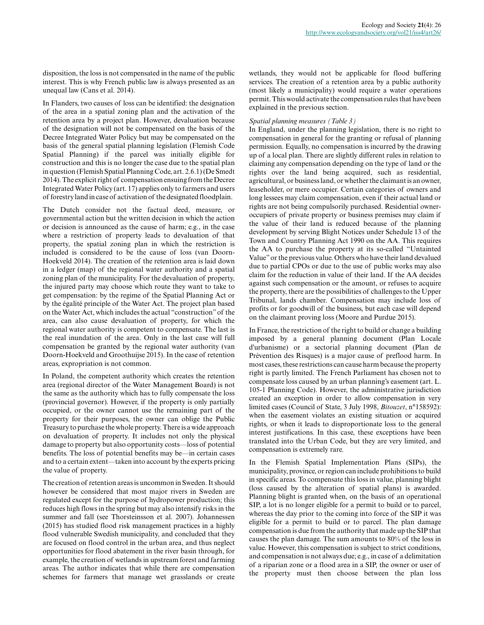disposition, the loss is not compensated in the name of the public interest. This is why French public law is always presented as an unequal law (Cans et al. 2014).

In Flanders, two causes of loss can be identified: the designation of the area in a spatial zoning plan and the activation of the retention area by a project plan. However, devaluation because of the designation will not be compensated on the basis of the Decree Integrated Water Policy but may be compensated on the basis of the general spatial planning legislation (Flemish Code Spatial Planning) if the parcel was initially eligible for construction and this is no longer the case due to the spatial plan in question (Flemish Spatial Planning Code, art. 2.6.1) (De Smedt 2014). The explicit right of compensation ensuing from the Decree Integrated Water Policy (art. 17) applies only to farmers and users of forestry land in case of activation of the designated floodplain.

The Dutch consider not the factual deed, measure, or governmental action but the written decision in which the action or decision is announced as the cause of harm; e.g., in the case where a restriction of property leads to devaluation of that property, the spatial zoning plan in which the restriction is included is considered to be the cause of loss (van Doorn-Hoekveld 2014). The creation of the retention area is laid down in a ledger (map) of the regional water authority and a spatial zoning plan of the municipality. For the devaluation of property, the injured party may choose which route they want to take to get compensation: by the regime of the Spatial Planning Act or by the égalité principle of the Water Act. The project plan based on the Water Act, which includes the actual "construction" of the area, can also cause devaluation of property, for which the regional water authority is competent to compensate. The last is the real inundation of the area. Only in the last case will full compensation be granted by the regional water authority (van Doorn-Hoekveld and Groothuijse 2015). In the case of retention areas, expropriation is not common.

In Poland, the competent authority which creates the retention area (regional director of the Water Management Board) is not the same as the authority which has to fully compensate the loss (provincial governor). However, if the property is only partially occupied, or the owner cannot use the remaining part of the property for their purposes, the owner can oblige the Public Treasury to purchase the whole property. There is a wide approach on devaluation of property. It includes not only the physical damage to property but also opportunity costs—loss of potential benefits. The loss of potential benefits may be—in certain cases and to a certain extent—taken into account by the experts pricing the value of property.

The creation of retention areas is uncommon in Sweden. It should however be considered that most major rivers in Sweden are regulated except for the purpose of hydropower production; this reduces high flows in the spring but may also intensify risks in the summer and fall (see Thorsteinsson et al. 2007). Johannessen (2015) has studied flood risk management practices in a highly flood vulnerable Swedish municipality, and concluded that they are focused on flood control in the urban area, and thus neglect opportunities for flood abatement in the river basin through, for example, the creation of wetlands in upstream forest and farming areas. The author indicates that while there are compensation schemes for farmers that manage wet grasslands or create wetlands, they would not be applicable for flood buffering services. The creation of a retention area by a public authority (most likely a municipality) would require a water operations permit. This would activate the compensation rules that have been explained in the previous section.

#### *Spatial planning measures (Table 3)*

In England, under the planning legislation, there is no right to compensation in general for the granting or refusal of planning permission. Equally, no compensation is incurred by the drawing up of a local plan. There are slightly different rules in relation to claiming any compensation depending on the type of land or the rights over the land being acquired, such as residential, agricultural, or business land, or whether the claimant is an owner, leaseholder, or mere occupier. Certain categories of owners and long lessees may claim compensation, even if their actual land or rights are not being compulsorily purchased. Residential owneroccupiers of private property or business premises may claim if the value of their land is reduced because of the planning development by serving Blight Notices under Schedule 13 of the Town and Country Planning Act 1990 on the AA. This requires the AA to purchase the property at its so-called "Untainted Value" or the previous value. Others who have their land devalued due to partial CPOs or due to the use of public works may also claim for the reduction in value of their land. If the AA decides against such compensation or the amount, or refuses to acquire the property, there are the possibilities of challenges to the Upper Tribunal, lands chamber. Compensation may include loss of profits or for goodwill of the business, but each case will depend on the claimant proving loss (Moore and Purdue 2015).

In France, the restriction of the right to build or change a building imposed by a general planning document (Plan Locale d'urbanisme) or a sectorial planning document (Plan de Prévention des Risques) is a major cause of preflood harm. In most cases, these restrictions can cause harm because the property right is partly limited. The French Parliament has chosen not to compensate loss caused by an urban planning's easement (art. L. 105-1 Planning Code). However, the administrative jurisdiction created an exception in order to allow compensation in very limited cases (Council of State, 3 July 1998, *Bitouzet*, n°158592): when the easement violates an existing situation or acquired rights, or when it leads to disproportionate loss to the general interest justifications. In this case, these exceptions have been translated into the Urban Code, but they are very limited, and compensation is extremely rare.

In the Flemish Spatial Implementation Plans (SIPs), the municipality, province, or region can include prohibitions to build in specific areas. To compensate this loss in value, planning blight (loss caused by the alteration of spatial plans) is awarded. Planning blight is granted when, on the basis of an operational SIP, a lot is no longer eligible for a permit to build or to parcel, whereas the day prior to the coming into force of the SIP it was eligible for a permit to build or to parcel. The plan damage compensation is due from the authority that made up the SIP that causes the plan damage. The sum amounts to 80% of the loss in value. However, this compensation is subject to strict conditions, and compensation is not always due; e.g., in case of a delimitation of a riparian zone or a flood area in a SIP, the owner or user of the property must then choose between the plan loss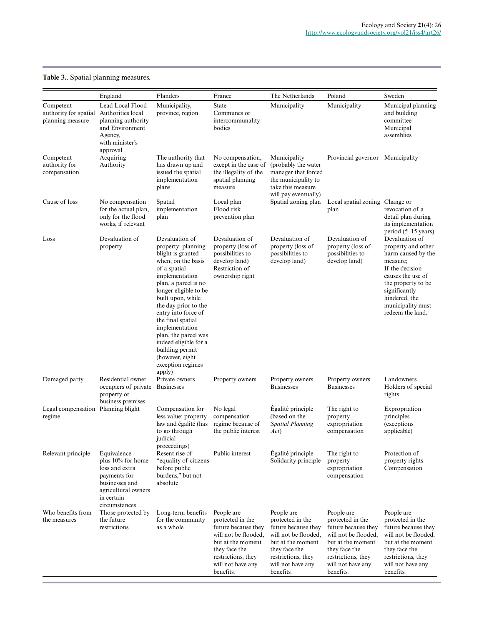# **Table 3.**. Spatial planning measures.

|                                                        | England                                                                                                                                       | Flanders                                                                                                                                                                                                                                                                                                                                                                                            | France                                                                                                                                                                      | The Netherlands                                                                                                                                                             | Poland                                                                                                                                                                      | Sweden                                                                                                                                                                                                                                                                                                          |
|--------------------------------------------------------|-----------------------------------------------------------------------------------------------------------------------------------------------|-----------------------------------------------------------------------------------------------------------------------------------------------------------------------------------------------------------------------------------------------------------------------------------------------------------------------------------------------------------------------------------------------------|-----------------------------------------------------------------------------------------------------------------------------------------------------------------------------|-----------------------------------------------------------------------------------------------------------------------------------------------------------------------------|-----------------------------------------------------------------------------------------------------------------------------------------------------------------------------|-----------------------------------------------------------------------------------------------------------------------------------------------------------------------------------------------------------------------------------------------------------------------------------------------------------------|
| Competent<br>authority for spatial<br>planning measure | Lead Local Flood<br>Authorities local<br>planning authority<br>and Environment<br>Agency,<br>with minister's<br>approval                      | Municipality,<br>province, region                                                                                                                                                                                                                                                                                                                                                                   | <b>State</b><br>Communes or<br>intercommunality<br>bodies                                                                                                                   | Municipality                                                                                                                                                                | Municipality                                                                                                                                                                | Municipal planning<br>and building<br>committee<br>Municipal<br>assemblies                                                                                                                                                                                                                                      |
| Competent<br>authority for<br>compensation             | Acquiring<br>Authority                                                                                                                        | The authority that<br>has drawn up and<br>issued the spatial<br>implementation<br>plans                                                                                                                                                                                                                                                                                                             | No compensation,<br>except in the case of<br>the illegality of the<br>spatial planning<br>measure                                                                           | Municipality<br>(probably the water<br>manager that forced<br>the municipality to<br>take this measure<br>will pay eventually)                                              | Provincial governor Municipality                                                                                                                                            |                                                                                                                                                                                                                                                                                                                 |
| Cause of loss                                          | No compensation<br>for the actual plan,<br>only for the flood<br>works, if relevant                                                           | Spatial<br>implementation<br>plan                                                                                                                                                                                                                                                                                                                                                                   | Local plan<br>Flood risk<br>prevention plan                                                                                                                                 | Spatial zoning plan                                                                                                                                                         | Local spatial zoning Change or<br>plan                                                                                                                                      | revocation of a<br>detail plan during<br>its implementation<br>period $(5-15 \text{ years})$<br>Devaluation of<br>property and other<br>harm caused by the<br>measure;<br>If the decision<br>causes the use of<br>the property to be<br>significantly<br>hindered, the<br>municipality must<br>redeem the land. |
| Loss                                                   | Devaluation of<br>property                                                                                                                    | Devaluation of<br>property: planning<br>blight is granted<br>when, on the basis<br>of a spatial<br>implementation<br>plan, a parcel is no<br>longer eligible to be<br>built upon, while<br>the day prior to the<br>entry into force of<br>the final spatial<br>implementation<br>plan, the parcel was<br>indeed eligible for a<br>building permit<br>(however, eight<br>exception regimes<br>apply) | Devaluation of<br>property (loss of<br>possibilities to<br>develop land)<br>Restriction of<br>ownership right                                                               | Devaluation of<br>property (loss of<br>possibilities to<br>develop land)                                                                                                    | Devaluation of<br>property (loss of<br>possibilities to<br>develop land)                                                                                                    |                                                                                                                                                                                                                                                                                                                 |
| Damaged party                                          | Residential owner<br>occupiers of private<br>property or<br>business premises                                                                 | Private owners<br><b>Businesses</b>                                                                                                                                                                                                                                                                                                                                                                 | Property owners                                                                                                                                                             | Property owners<br><b>Businesses</b>                                                                                                                                        | Property owners<br><b>Businesses</b>                                                                                                                                        | Landowners<br>Holders of special<br>rights                                                                                                                                                                                                                                                                      |
| Legal compensation Planning blight<br>regime           |                                                                                                                                               | Compensation for<br>less value: property<br>law and égalité (has<br>to go through<br>judicial<br>proceedings)                                                                                                                                                                                                                                                                                       | No legal<br>compensation<br>regime because of<br>the public interest                                                                                                        | Égalité principle<br>(based on the<br><b>Spatial Planning</b><br>Act)                                                                                                       | The right to<br>property<br>expropriation<br>compensation                                                                                                                   | Expropriation<br>principles<br>(exceptions<br>applicable)                                                                                                                                                                                                                                                       |
| Relevant principle                                     | Equivalence<br>plus $10\%$ for home<br>loss and extra<br>payments for<br>businesses and<br>agricultural owners<br>in certain<br>circumstances | Resent rise of<br>"equality of citizens<br>before public<br>burdens," but not<br>absolute                                                                                                                                                                                                                                                                                                           | Public interest                                                                                                                                                             | Égalité principle<br>Solidarity principle                                                                                                                                   | The right to<br>property<br>expropriation<br>compensation                                                                                                                   | Protection of<br>property rights<br>Compensation                                                                                                                                                                                                                                                                |
| Who benefits from<br>the measures                      | Those protected by<br>the future<br>restrictions                                                                                              | Long-term benefits<br>for the community<br>as a whole                                                                                                                                                                                                                                                                                                                                               | People are<br>protected in the<br>future because they<br>will not be flooded,<br>but at the moment<br>they face the<br>restrictions, they<br>will not have any<br>benefits. | People are<br>protected in the<br>future because they<br>will not be flooded.<br>but at the moment<br>they face the<br>restrictions, they<br>will not have any<br>benefits. | People are<br>protected in the<br>future because they<br>will not be flooded.<br>but at the moment<br>they face the<br>restrictions, they<br>will not have any<br>benefits. | People are<br>protected in the<br>future because they<br>will not be flooded.<br>but at the moment<br>they face the<br>restrictions, they<br>will not have any<br>benefits.                                                                                                                                     |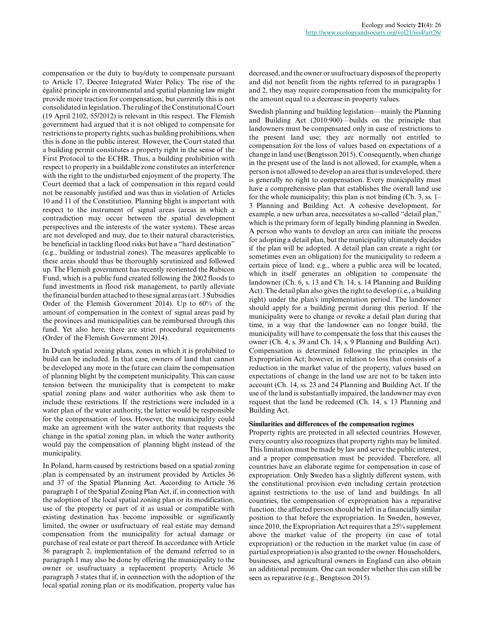compensation or the duty to buy/duty to compensate pursuant to Article 17, Decree Integrated Water Policy. The rise of the égalité principle in environmental and spatial planning law might provide more traction for compensation, but currently this is not consolidated in legislation. The ruling of the Constitutional Court (19 April 2102, 55/2012) is relevant in this respect. The Flemish government had argued that it is not obliged to compensate for restrictions to property rights, such as building prohibitions, when this is done in the public interest. However, the Court stated that a building permit constitutes a property right in the sense of the First Protocol to the ECHR. Thus, a building prohibition with respect to property in a buildable zone constitutes an interference with the right to the undisturbed enjoyment of the property. The Court deemed that a lack of compensation in this regard could not be reasonably justified and was thus in violation of Articles 10 and 11 of the Constitution. Planning blight is important with respect to the instrument of signal areas (areas in which a contradiction may occur between the spatial development perspectives and the interests of the water system). These areas are not developed and may, due to their natural characteristics, be beneficial in tackling flood risks but have a "hard destination" (e.g., building or industrial zones). The measures applicable to these areas should thus be thoroughly scrutinized and followed up. The Flemish government has recently reoriented the Rubicon Fund, which is a public fund created following the 2002 floods to fund investments in flood risk management, to partly alleviate the financial burden attached to these signal areas (art. 3 Subsidies Order of the Flemish Government 2014). Up to 60% of the amount of compensation in the context of signal areas paid by the provinces and municipalities can be reimbursed through this fund. Yet also here, there are strict procedural requirements (Order of the Flemish Government 2014).

In Dutch spatial zoning plans, zones in which it is prohibited to build can be included. In that case, owners of land that cannot be developed any more in the future can claim the compensation of planning blight by the competent municipality. This can cause tension between the municipality that is competent to make spatial zoning plans and water authorities who ask them to include these restrictions. If the restrictions were included in a water plan of the water authority, the latter would be responsible for the compensation of loss. However, the municipality could make an agreement with the water authority that requests the change in the spatial zoning plan, in which the water authority would pay the compensation of planning blight instead of the municipality.

In Poland, harm caused by restrictions based on a spatial zoning plan is compensated by an instrument provided by Articles 36 and 37 of the Spatial Planning Act. According to Article 36 paragraph 1 of the Spatial Zoning Plan Act, if, in connection with the adoption of the local spatial zoning plan or its modification, use of the property or part of it as usual or compatible with existing destination has become impossible or significantly limited, the owner or usufructuary of real estate may demand compensation from the municipality for actual damage or purchase of real estate or part thereof. In accordance with Article 36 paragraph 2, implementation of the demand referred to in paragraph 1 may also be done by offering the municipality to the owner or usufructuary a replacement property. Article 36 paragraph 3 states that if, in connection with the adoption of the local spatial zoning plan or its modification, property value has decreased, and the owner or usufructuary disposes of the property and did not benefit from the rights referred to in paragraphs 1 and 2, they may require compensation from the municipality for the amount equal to a decrease in property values.

Swedish planning and building legislation—mainly the Planning and Building Act (2010:900)—builds on the principle that landowners must be compensated only in case of restrictions to the present land use; they are normally not entitled to compensation for the loss of values based on expectations of a change in land use (Bengtsson 2015). Consequently, when change in the present use of the land is not allowed, for example, when a person is not allowed to develop an area that is undeveloped, there is generally no right to compensation. Every municipality must have a comprehensive plan that establishes the overall land use for the whole municipality; this plan is not binding (Ch. 3, ss. 1– 3 Planning and Building Act. A cohesive development, for example, a new urban area, necessitates a so-called "detail plan," which is the primary form of legally binding planning in Sweden. A person who wants to develop an area can initiate the process for adopting a detail plan, but the municipality ultimately decides if the plan will be adopted. A detail plan can create a right (or sometimes even an obligation) for the municipality to redeem a certain piece of land; e.g., where a public area will be located, which in itself generates an obligation to compensate the landowner (Ch. 6, s. 13 and Ch. 14, s. 14 Planning and Building Act). The detail plan also gives the right to develop (i.e., a building right) under the plan's implementation period. The landowner should apply for a building permit during this period. If the municipality were to change or revoke a detail plan during that time, in a way that the landowner can no longer build, the municipality will have to compensate the loss that this causes the owner (Ch. 4, s. 39 and Ch. 14, s. 9 Planning and Building Act). Compensation is determined following the principles in the Expropriation Act; however, in relation to loss that consists of a reduction in the market value of the property, values based on expectations of change in the land use are not to be taken into account (Ch. 14, ss. 23 and 24 Planning and Building Act. If the use of the land is substantially impaired, the landowner may even request that the land be redeemed (Ch. 14, s. 13 Planning and Building Act.

# **Similarities and differences of the compensation regimes**

Property rights are protected in all selected countries. However, every country also recognizes that property rights may be limited. This limitation must be made by law and serve the public interest, and a proper compensation must be provided. Therefore, all countries have an elaborate regime for compensation in case of expropriation. Only Sweden has a slightly different system, with the constitutional provision even including certain protection against restrictions to the use of land and buildings. In all countries, the compensation of expropriation has a reparative function: the affected person should be left in a financially similar position to that before the expropriation. In Sweden, however, since 2010, the Expropriation Act requires that a 25% supplement above the market value of the property (in case of total expropriation) or the reduction in the market value (in case of partial expropriation) is also granted to the owner. Householders, businesses, and agricultural owners in England can also obtain an additional premium. One can wonder whether this can still be seen as reparative (e.g., Bengtsson 2015).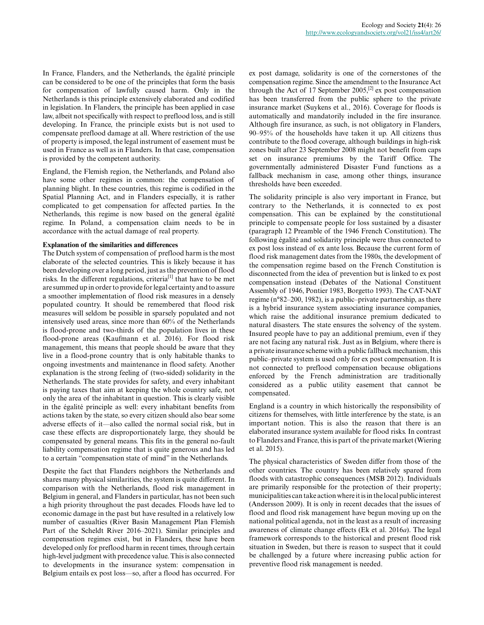In France, Flanders, and the Netherlands, the égalité principle can be considered to be one of the principles that form the basis for compensation of lawfully caused harm. Only in the Netherlands is this principle extensively elaborated and codified in legislation. In Flanders, the principle has been applied in case law, albeit not specifically with respect to preflood loss, and is still developing. In France, the principle exists but is not used to compensate preflood damage at all. Where restriction of the use of property is imposed, the legal instrument of easement must be used in France as well as in Flanders. In that case, compensation is provided by the competent authority.

England, the Flemish region, the Netherlands, and Poland also have some other regimes in common: the compensation of planning blight. In these countries, this regime is codified in the Spatial Planning Act, and in Flanders especially, it is rather complicated to get compensation for affected parties. In the Netherlands, this regime is now based on the general égalité regime. In Poland, a compensation claim needs to be in accordance with the actual damage of real property.

#### **Explanation of the similarities and differences**

The Dutch system of compensation of preflood harm is the most elaborate of the selected countries. This is likely because it has been developing over a long period, just as the prevention of flood risks. In the different regulations, criteria<sup>[1]</sup> that have to be met are summed up in order to provide for legal certainty and to assure a smoother implementation of flood risk measures in a densely populated country. It should be remembered that flood risk measures will seldom be possible in sparsely populated and not intensively used areas, since more than 60% of the Netherlands is flood-prone and two-thirds of the population lives in these flood-prone areas (Kaufmann et al. 2016). For flood risk management, this means that people should be aware that they live in a flood-prone country that is only habitable thanks to ongoing investments and maintenance in flood safety. Another explanation is the strong feeling of (two-sided) solidarity in the Netherlands. The state provides for safety, and every inhabitant is paying taxes that aim at keeping the whole country safe, not only the area of the inhabitant in question. This is clearly visible in the égalité principle as well: every inhabitant benefits from actions taken by the state, so every citizen should also bear some adverse effects of it—also called the normal social risk, but in case these effects are disproportionately large, they should be compensated by general means. This fits in the general no-fault liability compensation regime that is quite generous and has led to a certain "compensation state of mind" in the Netherlands.

Despite the fact that Flanders neighbors the Netherlands and shares many physical similarities, the system is quite different. In comparison with the Netherlands, flood risk management in Belgium in general, and Flanders in particular, has not been such a high priority throughout the past decades. Floods have led to economic damage in the past but have resulted in a relatively low number of casualties (River Basin Management Plan Flemish Part of the Scheldt River 2016–2021). Similar principles and compensation regimes exist, but in Flanders, these have been developed only for preflood harm in recent times, through certain high-level judgment with precedence value. This is also connected to developments in the insurance system: compensation in Belgium entails ex post loss—so, after a flood has occurred. For

ex post damage, solidarity is one of the cornerstones of the compensation regime. Since the amendment to the Insurance Act through the Act of 17 September  $2005$ ,<sup>[2]</sup> ex post compensation has been transferred from the public sphere to the private insurance market (Suykens et al., 2016). Coverage for floods is automatically and mandatorily included in the fire insurance. Although fire insurance, as such, is not obligatory in Flanders, 90–95% of the households have taken it up. All citizens thus contribute to the flood coverage, although buildings in high-risk zones built after 23 September 2008 might not benefit from caps set on insurance premiums by the Tariff Office. The governmentally administered Disaster Fund functions as a fallback mechanism in case, among other things, insurance thresholds have been exceeded.

The solidarity principle is also very important in France, but contrary to the Netherlands, it is connected to ex post compensation. This can be explained by the constitutional principle to compensate people for loss sustained by a disaster (paragraph 12 Preamble of the 1946 French Constitution). The following égalité and solidarity principle were thus connected to ex post loss instead of ex ante loss. Because the current form of flood risk management dates from the 1980s, the development of the compensation regime based on the French Constitution is disconnected from the idea of prevention but is linked to ex post compensation instead (Debates of the National Constituent Assembly of 1946, Pontier 1983, Borgetto 1993). The CAT-NAT regime (n°82–200, 1982), is a public–private partnership, as there is a hybrid insurance system associating insurance companies, which raise the additional insurance premium dedicated to natural disasters. The state ensures the solvency of the system. Insured people have to pay an additional premium, even if they are not facing any natural risk. Just as in Belgium, where there is a private insurance scheme with a public fallback mechanism, this public–private system is used only for ex post compensation. It is not connected to preflood compensation because obligations enforced by the French administration are traditionally considered as a public utility easement that cannot be compensated.

England is a country in which historically the responsibility of citizens for themselves, with little interference by the state, is an important notion. This is also the reason that there is an elaborated insurance system available for flood risks. In contrast to Flanders and France, this is part of the private market (Wiering et al. 2015).

The physical characteristics of Sweden differ from those of the other countries. The country has been relatively spared from floods with catastrophic consequences (MSB 2012). Individuals are primarily responsible for the protection of their property; municipalities can take action where it is in the local public interest (Andersson 2009). It is only in recent decades that the issues of flood and flood risk management have begun moving up on the national political agenda, not in the least as a result of increasing awareness of climate change effects (Ek et al. 2016*a*). The legal framework corresponds to the historical and present flood risk situation in Sweden, but there is reason to suspect that it could be challenged by a future where increasing public action for preventive flood risk management is needed.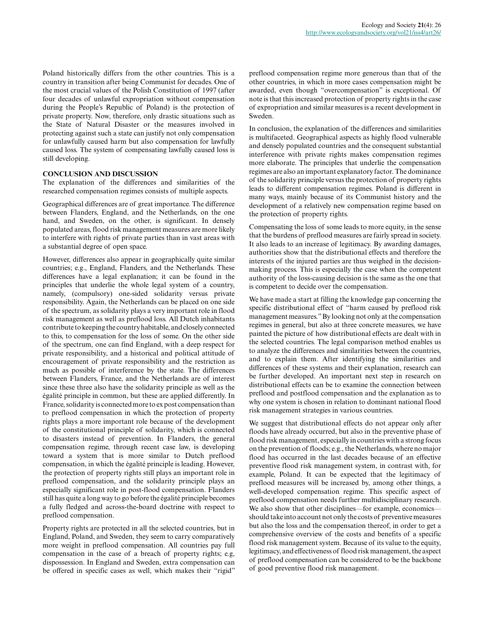Poland historically differs from the other countries. This is a country in transition after being Communist for decades. One of the most crucial values of the Polish Constitution of 1997 (after four decades of unlawful expropriation without compensation during the People's Republic of Poland) is the protection of private property. Now, therefore, only drastic situations such as the State of Natural Disaster or the measures involved in protecting against such a state can justify not only compensation for unlawfully caused harm but also compensation for lawfully caused loss. The system of compensating lawfully caused loss is still developing.

## **CONCLUSION AND DISCUSSION**

The explanation of the differences and similarities of the researched compensation regimes consists of multiple aspects.

Geographical differences are of great importance. The difference between Flanders, England, and the Netherlands, on the one hand, and Sweden, on the other, is significant. In densely populated areas, flood risk management measures are more likely to interfere with rights of private parties than in vast areas with a substantial degree of open space.

However, differences also appear in geographically quite similar countries; e.g., England, Flanders, and the Netherlands. These differences have a legal explanation; it can be found in the principles that underlie the whole legal system of a country, namely, (compulsory) one-sided solidarity versus private responsibility. Again, the Netherlands can be placed on one side of the spectrum, as solidarity plays a very important role in flood risk management as well as preflood loss. All Dutch inhabitants contribute to keeping the country habitable, and closely connected to this, to compensation for the loss of some. On the other side of the spectrum, one can find England, with a deep respect for private responsibility, and a historical and political attitude of encouragement of private responsibility and the restriction as much as possible of interference by the state. The differences between Flanders, France, and the Netherlands are of interest since these three also have the solidarity principle as well as the égalité principle in common, but these are applied differently. In France, solidarity is connected more to ex post compensation than to preflood compensation in which the protection of property rights plays a more important role because of the development of the constitutional principle of solidarity, which is connected to disasters instead of prevention. In Flanders, the general compensation regime, through recent case law, is developing toward a system that is more similar to Dutch preflood compensation, in which the égalité principle is leading. However, the protection of property rights still plays an important role in preflood compensation, and the solidarity principle plays an especially significant role in post-flood compensation. Flanders still has quite a long way to go before the égalité principle becomes a fully fledged and across-the-board doctrine with respect to preflood compensation.

Property rights are protected in all the selected countries, but in England, Poland, and Sweden, they seem to carry comparatively more weight in preflood compensation. All countries pay full compensation in the case of a breach of property rights; e.g, dispossession. In England and Sweden, extra compensation can be offered in specific cases as well, which makes their "rigid" preflood compensation regime more generous than that of the other countries, in which in more cases compensation might be awarded, even though "overcompensation" is exceptional. Of note is that this increased protection of property rights in the case of expropriation and similar measures is a recent development in Sweden.

In conclusion, the explanation of the differences and similarities is multifaceted. Geographical aspects as highly flood vulnerable and densely populated countries and the consequent substantial interference with private rights makes compensation regimes more elaborate. The principles that underlie the compensation regimes are also an important explanatory factor. The dominance of the solidarity principle versus the protection of property rights leads to different compensation regimes. Poland is different in many ways, mainly because of its Communist history and the development of a relatively new compensation regime based on the protection of property rights.

Compensating the loss of some leads to more equity, in the sense that the burdens of preflood measures are fairly spread in society. It also leads to an increase of legitimacy. By awarding damages, authorities show that the distributional effects and therefore the interests of the injured parties are thus weighed in the decisionmaking process. This is especially the case when the competent authority of the loss-causing decision is the same as the one that is competent to decide over the compensation.

We have made a start at filling the knowledge gap concerning the specific distributional effect of "harm caused by preflood risk management measures." By looking not only at the compensation regimes in general, but also at three concrete measures, we have painted the picture of how distributional effects are dealt with in the selected countries. The legal comparison method enables us to analyze the differences and similarities between the countries, and to explain them. After identifying the similarities and differences of these systems and their explanation, research can be further developed. An important next step in research on distributional effects can be to examine the connection between preflood and postflood compensation and the explanation as to why one system is chosen in relation to dominant national flood risk management strategies in various countries.

We suggest that distributional effects do not appear only after floods have already occurred, but also in the preventive phase of flood risk management, especially in countries with a strong focus on the prevention of floods; e.g., the Netherlands, where no major flood has occurred in the last decades because of an effective preventive flood risk management system, in contrast with, for example, Poland. It can be expected that the legitimacy of preflood measures will be increased by, among other things, a well-developed compensation regime. This specific aspect of preflood compensation needs further multidisciplinary research. We also show that other disciplines—for example, economics should take into account not only the costs of preventive measures but also the loss and the compensation thereof, in order to get a comprehensive overview of the costs and benefits of a specific flood risk management system. Because of its value to the equity, legitimacy, and effectiveness of flood risk management, the aspect of preflood compensation can be considered to be the backbone of good preventive flood risk management.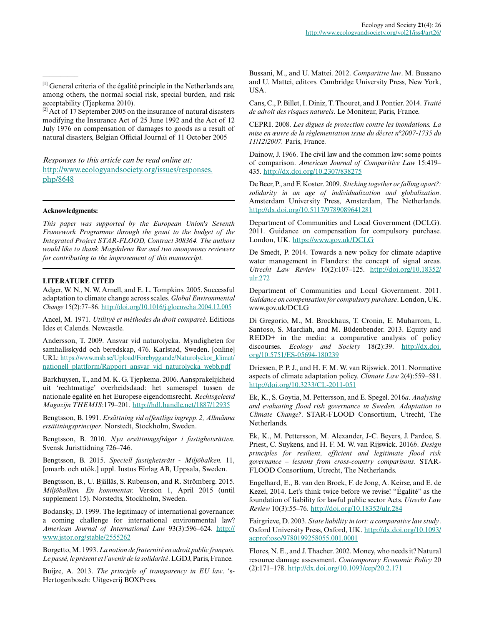<sup>[2]</sup> Act of 17 September 2005 on the insurance of natural disasters modifying the Insurance Act of 25 June 1992 and the Act of 12 July 1976 on compensation of damages to goods as a result of natural disasters, Belgian Official Journal of 11 October 2005

*Responses to this article can be read online at:* [http://www.ecologyandsociety.org/issues/responses.](http://www.ecologyandsociety.org/issues/responses.php/8648) [php/8648](http://www.ecologyandsociety.org/issues/responses.php/8648)

#### **Acknowledgments:**

 $\overline{\phantom{a}}$ 

*This paper was supported by the European Union's Seventh Framework Programme through the grant to the budget of the Integrated Project STAR-FLOOD, Contract 308364. The authors would like to thank Magdalena Bar and two anonymous reviewers for contributing to the improvement of this manuscript.*

## **LITERATURE CITED**

Adger, W. N., N. W. Arnell, and E. L. Tompkins. 2005. Successful adaptation to climate change across scales. *Global Environmental Change* 15(2):77–86.<http://doi.org/10.1016/j.gloenvcha.2004.12.005>

Ancel, M. 1971. *Utilityé et méthodes du droit compareé*. Editions Ides et Calends. Newcastle.

Andersson, T. 2009. Ansvar vid naturolycka. Myndigheten for samhallsskydd och beredskap, 476. Karlstad, Sweden. [online] URL: [https://www.msb.se/Upload/Forebyggande/Naturolyckor\\_klimat/](https://www.msb.se/Upload/Forebyggande/Naturolyckor_klimat/nationell_plattform/Rapport_ansvar_vid_naturolycka_webb.pdf) [nationell\\_plattform/Rapport\\_ansvar\\_vid\\_naturolycka\\_webb.pdf](https://www.msb.se/Upload/Forebyggande/Naturolyckor_klimat/nationell_plattform/Rapport_ansvar_vid_naturolycka_webb.pdf)

Barkhuysen, T., and M. K. G. Tjepkema. 2006. Aansprakelijkheid uit 'rechtmatige' overheidsdaad: het samenspel tussen de nationale égalité en het Europese eigendomsrecht. *Rechtsgeleerd Magazijn THEMIS*:179–201. <http://hdl.handle.net/1887/12935>

Bengtsson, B. 1991. *Ersättning vid offentliga ingrepp. 2, Allmänna ersättningsprinciper*. Norstedt, Stockholm, Sweden.

Bengtsson, B. 2010. *Nya ersättningsfrågor i fastighetsrätten*. Svensk Juristtidning 726–746.

Bengtsson, B. 2015. *Speciell fastighetsrätt - Miljöbalken.* 11, [omarb. och utök.] uppl. Iustus Förlag AB, Uppsala, Sweden.

Bengtsson, B., U. Bjällås, S. Rubenson, and R. Strömberg. 2015. *Miljöbalken. En kommentar.* Version 1, April 2015 (until supplement 15). Norstedts, Stockholm, Sweden.

Bodansky, D. 1999. The legitimacy of international governance: a coming challenge for international environmental law? *American Journal of International Law* 93(3):596–624. [http://](http://www.jstor.org/stable/2555262) [www.jstor.org/stable/2555262](http://www.jstor.org/stable/2555262)

Borgetto, M. 1993. *La notion de fraternité en adroit public français. Le passé, le présent et l'avenir de la solidarité*. LGDJ, Paris, France.

Buijze, A. 2013. *The principle of transparency in EU law*. 's-Hertogenbosch: Uitgeverij BOXPress.

Bussani, M., and U. Mattei. 2012. *Comparitive law*. M. Bussano and U. Mattei, editors. Cambridge University Press, New York, USA.

Cans, C., P. Billet, I. Diniz, T. Thouret, and J. Pontier. 2014. *Traité de adroit des risques naturels*. Le Moniteur, Paris, France.

CEPRI. 2008. *Les digues de protection contre les inondations. La mise en œuvre de la règlementation issue du décret n°2007-1735 du 11/12/2007.* Paris, France.

Dainow, J. 1966. The civil law and the common law: some points of comparison. *American Journal of Comparitive Law* 15:419– 435. [http://dx.doi.org/10.2307/838275](http://dx.doi.org/10.2307%2F838275) 

De Beer, P., and F. Koster. 2009. *Sticking together or falling apart?: solidarity in an age of individualization and globalization*. Amsterdam University Press, Amsterdam, The Netherlands. [http://dx.doi.org/10.5117/9789089641281](http://dx.doi.org/10.5117%2F9789089641281) 

Department of Communities and Local Government (DCLG). 2011. Guidance on compensation for compulsory purchase. London, UK.<https://www.gov.uk/DCLG>

De Smedt, P. 2014. Towards a new policy for climate adaptive water management in Flanders: the concept of signal areas. *Utrecht Law Review* 10(2):107–125. [http://doi.org/10.18352/](http://doi.org/10.18352/ulr.272) [ulr.272](http://doi.org/10.18352/ulr.272)

Department of Communities and Local Government. 2011. *Guidance on compensation for compulsory purchase*. London, UK. www.gov.uk/DCLG

Di Gregorio, M., M. Brockhaus, T. Cronin, E. Muharrom, L. Santoso, S. Mardiah, and M. Büdenbender. 2013. Equity and REDD+ in the media: a comparative analysis of policy discourses. *Ecology and Society* 18(2):39. [http://dx.doi.](http://dx.doi.org/10.5751%2FES-05694-180239) [org/10.5751/ES-05694-180239](http://dx.doi.org/10.5751%2FES-05694-180239) 

Driessen, P. P. J., and H. F. M. W. van Rijswick. 2011. Normative aspects of climate adaptation policy. *Climate Law* 2(4):559–581. <http://doi.org/10.3233/CL-2011-051>

Ek, K., S. Goytia, M. Pettersson, and E. Spegel. 2016*a*. *Analysing and evaluating flood risk governance in Sweden. Adaptation to Climate Change?*. STAR-FLOOD Consortium, Utrecht, The Netherlands.

Ek, K., M. Pettersson, M. Alexander, J-C. Beyers, J. Pardoe, S. Priest, C. Suykens, and H. F. M. W. van Rijswick. 2016*b*. *Design principles for resilient, efficient and legitimate flood risk governance – lessons from cross-country comparisons*. STAR-FLOOD Consortium, Utrecht, The Netherlands.

Engelhard, E., B. van den Broek, F. de Jong, A. Keirse, and E. de Kezel, 2014. Let's think twice before we revise! "Égalité" as the foundation of liability for lawful public sector Acts. *Utrecht Law Review* 10(3):55–76. <http://doi.org/10.18352/ulr.284>

Fairgrieve, D. 2003. *State liability in tort: a comparative law study*. Oxford University Press, Oxford, UK. [http://dx.doi.org/10.1093/](http://dx.doi.org/10.1093%2Facprof%3Aoso%2F9780199258055.001.0001) [acprof:oso/9780199258055.001.0001](http://dx.doi.org/10.1093%2Facprof%3Aoso%2F9780199258055.001.0001) 

Flores, N. E., and J. Thacher. 2002. Money, who needs it? Natural resource damage assessment. *Contemporary Economic Policy* 20 (2):171–178. [http://dx.doi.org/10.1093/cep/20.2.171](http://dx.doi.org/10.1093%2Fcep%2F20.2.171) 

<sup>[1]</sup> General criteria of the égalité principle in the Netherlands are, among others, the normal social risk, special burden, and risk acceptability (Tjepkema 2010).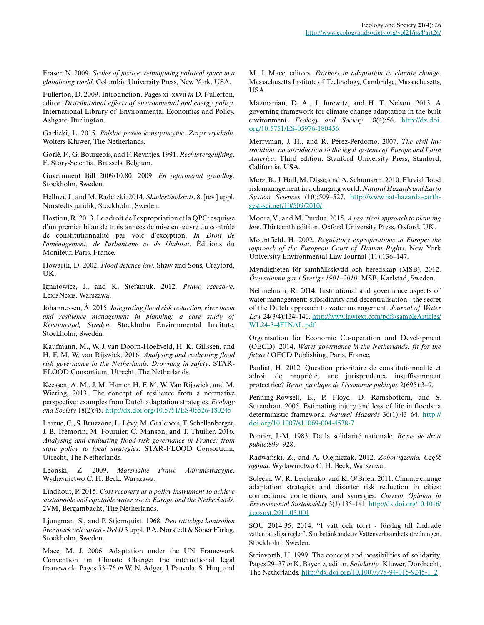Fraser, N. 2009. *Scales of justice: reimagining political space in a globalizing world*. Columbia University Press, New York, USA.

Fullerton, D. 2009. Introduction. Pages xi–xxvii *in* D. Fullerton, editor. *Distributional effects of environmental and energy policy*. International Library of Environmental Economics and Policy. Ashgate, Burlington.

Garlicki, L. 2015. *Polskie prawo konstytucyjne. Zarys wykładu*. Wolters Kluwer, The Netherlands.

Gorlé, F., G. Bourgeois, and F. Reyntjes. 1991. *Rechtsvergelijking*. E. Story-Scientia, Brussels, Belgium.

Government Bill 2009/10:80. 2009. *En reformerad grundlag*. Stockholm, Sweden.

Hellner, J., and M. Radetzki. 2014. *Skadeståndsrätt*. 8. [rev.] uppl. Norstedts juridik, Stockholm, Sweden.

Hostiou, R. 2013. Le adroit de l'expropriation et la QPC: esquisse d'un premier bilan de trois années de mise en œuvre du contrôle de constitutionnalité par voie d'exception. *In Droit de l'aménagement, de l'urbanisme et de l'habitat*. Éditions du Moniteur, Paris, France.

Howarth, D. 2002. *Flood defence law*. Shaw and Sons, Crayford, UK.

Ignatowicz, J., and K. Stefaniuk. 2012. *Prawo rzeczowe*. LexisNexis, Warszawa.

Johannessen, Å. 2015. *Integrating flood risk reduction, river basin and resilience management in planning: a case study of Kristianstad, Sweden*. Stockholm Environmental Institute, Stockholm, Sweden.

Kaufmann, M., W. J. van Doorn-Hoekveld, H. K. Gilissen, and H. F. M. W. van Rijswick. 2016. *Analysing and evaluating flood risk governance in the Netherlands. Drowning in safety*. STAR-FLOOD Consortium, Utrecht, The Netherlands.

Keessen, A. M., J. M. Hamer, H. F. M. W. Van Rijswick, and M. Wiering, 2013. The concept of resilience from a normative perspective: examples from Dutch adaptation strategies. *Ecology and Society* 18(2):45. [http://dx.doi.org/10.5751/ES-05526-180245](http://dx.doi.org/10.5751%2FES-05526-180245) 

Larrue, C., S. Bruzzone, L. Lévy, M. Gralepois, T. Schellenberger, J. B. Trémorin, M. Fournier, C. Manson, and T. Thuilier. 2016. *Analysing and evaluating flood risk governance in France: from state policy to local strategies*. STAR-FLOOD Consortium, Utrecht, The Netherlands.

Leonski, Z. 2009. *Materialne Prawo Administracyjne*. Wydawnictwo C. H. Beck, Warszawa.

Lindhout, P. 2015. *Cost recovery as a policy instrument to achieve sustainable and equitable water use in Europe and the Netherlands*. 2VM, Bergambacht, The Netherlands.

Ljungman, S., and P. Stjernquist. 1968. *Den rättsliga kontrollen över mark och vatten - Del II* 3 uppl. P.A. Norstedt & Söner Förlag, Stockholm, Sweden.

Mace, M. J. 2006. Adaptation under the UN Framework Convention on Climate Change: the international legal framework. Pages 53–76 *in* W. N. Adger, J. Paavola, S. Huq, and M. J. Mace, editors. *Fairness in adaptation to climate change*. Massachusetts Institute of Technology, Cambridge, Massachusetts, USA.

Mazmanian, D. A., J. Jurewitz, and H. T. Nelson. 2013. A governing framework for climate change adaptation in the built environment. *Ecology and Society* 18(4):56. [http://dx.doi.](http://dx.doi.org/10.5751%2FES-05976-180456) [org/10.5751/ES-05976-180456](http://dx.doi.org/10.5751%2FES-05976-180456) 

Merryman, J. H., and R. Pérez-Perdomo. 2007. *The civil law tradition: an introduction to the legal systems of Europe and Latin America*. Third edition. Stanford University Press, Stanford, California, USA.

Merz, B., J. Hall, M. Disse, and A. Schumann. 2010. Fluvial flood risk management in a changing world. *Natural Hazards and Earth System Sciences* (10):509–527. [http://www.nat-hazards-earth](http://www.nat-hazards-earth-syst-sci.net/10/509/2010/)[syst-sci.net/10/509/2010/](http://www.nat-hazards-earth-syst-sci.net/10/509/2010/)

Moore, V., and M. Purdue. 2015. *A practical approach to planning law*. Thirteenth edition. Oxford University Press, Oxford, UK.

Mountfield, H. 2002. *Regulatory expropriations in Europe: the approach of the European Court of Human Rights*. New York University Environmental Law Journal (11):136–147.

Myndigheten för samhällsskydd och beredskap (MSB). 2012. *Översvämningar i Sverige 1901–2010.* MSB, Karlstad, Sweden.

Nehmelman, R. 2014. Institutional and governance aspects of water management: subsidiarity and decentralisation - the secret of the Dutch approach to water management. *Journal of Water Law* 24(3/4):134–140. [http://www.lawtext.com/pdfs/sampleArticles/](http://www.lawtext.com/pdfs/sampleArticles/WL24-3-4FINAL.pdf) [WL24-3-4FINAL.pdf](http://www.lawtext.com/pdfs/sampleArticles/WL24-3-4FINAL.pdf)

Organisation for Economic Co-operation and Development (OECD). 2014. *Water governance in the Netherlands: fit for the future?* OECD Publishing, Paris, France.

Pauliat, H. 2012. Question prioritaire de constitutionnalité et adroit de propriété, une jurisprudence insuffisamment protectrice? *Revue juridique de l'économie publique* 2(695):3–9.

Penning-Rowsell, E., P. Floyd, D. Ramsbottom, and S. Surendran. 2005. Estimating injury and loss of life in floods: a deterministic framework. *Natural Hazards* 36(1):43–64. [http://](http://doi.org/10.1007/s11069-004-4538-7) [doi.org/10.1007/s11069-004-4538-7](http://doi.org/10.1007/s11069-004-4538-7) 

Pontier, J.-M. 1983. De la solidarité nationale. *Revue de droit public*:899–928.

Radwański, Z., and A. Olejniczak. 2012. *Zobowi*ą*zania. Cz*ęść *ogólna*. Wydawnictwo C. H. Beck, Warszawa.

Solecki, W., R. Leichenko, and K. O'Brien. 2011. Climate change adaptation strategies and disaster risk reduction in cities: connections, contentions, and synergies. *Current Opinion in Environmental Sustainablity* 3(3):135–141. [http://dx.doi.org/10.1016/](http://dx.doi.org/10.1016%2Fj.cosust.2011.03.001) [j.cosust.2011.03.001](http://dx.doi.org/10.1016%2Fj.cosust.2011.03.001) 

SOU 2014:35. 2014. "I vått och torrt - förslag till ändrade vattenrättsliga regler". Slutbetänkande av Vattenverksamhetsutredningen. Stockholm, Sweden.

Steinvorth, U. 1999. The concept and possibilities of solidarity. Pages 29–37 *in* K. Bayertz, editor. *Solidarity*. Kluwer, Dordrecht, The Netherlands. [http://dx.doi.org/10.1007/978-94-015-9245-1\\_2](http://dx.doi.org/10.1007%2F978-94-015-9245-1_2)